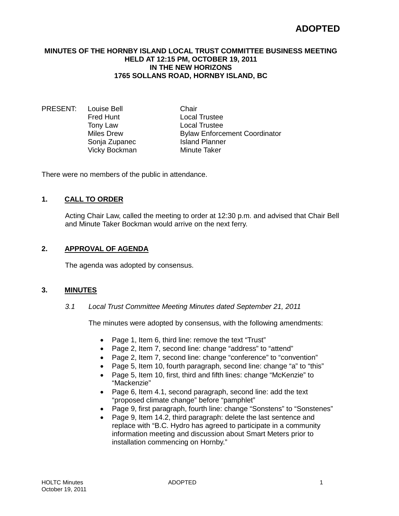# **ADOPTED**

#### **MINUTES OF THE HORNBY ISLAND LOCAL TRUST COMMITTEE BUSINESS MEETING HELD AT 12:15 PM, OCTOBER 19, 2011 IN THE NEW HORIZONS 1765 SOLLANS ROAD, HORNBY ISLAND, BC**

PRESENT: Louise Bell Chair<br>Fred Hunt Local Vicky Bockman Minute Taker

Fred Hunt Local Trustee<br>
Tony Law Local Trustee Tony Law **Local Trustee**<br>
Miles Drew **Read Bylaw Enforce Bylaw Enforcement Coordinator** Sonia Zupanec **Island Planner** 

There were no members of the public in attendance.

# **1. CALL TO ORDER**

Acting Chair Law, called the meeting to order at 12:30 p.m. and advised that Chair Bell and Minute Taker Bockman would arrive on the next ferry.

# **2. APPROVAL OF AGENDA**

The agenda was adopted by consensus.

#### **3. MINUTES**

*3.1 Local Trust Committee Meeting Minutes dated September 21, 2011*

The minutes were adopted by consensus, with the following amendments:

- Page 1, Item 6, third line: remove the text "Trust"
- Page 2, Item 7, second line: change "address" to "attend"
- Page 2, Item 7, second line: change "conference" to "convention"
- Page 5, Item 10, fourth paragraph, second line: change "a" to "this"
- Page 5, Item 10, first, third and fifth lines: change "McKenzie" to "Mackenzie"
- Page 6, Item 4.1, second paragraph, second line: add the text "proposed climate change" before "pamphlet"
- Page 9, first paragraph, fourth line: change "Sonstens" to "Sonstenes"
- Page 9, Item 14.2, third paragraph: delete the last sentence and replace with "B.C. Hydro has agreed to participate in a community information meeting and discussion about Smart Meters prior to installation commencing on Hornby."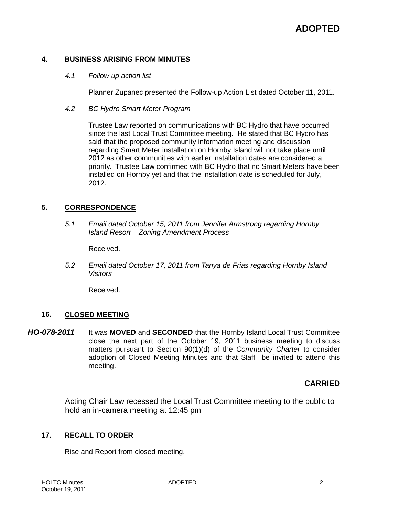# **4. BUSINESS ARISING FROM MINUTES**

*4.1 Follow up action list*

Planner Zupanec presented the Follow-up Action List dated October 11, 2011.

*4.2 BC Hydro Smart Meter Program*

Trustee Law reported on communications with BC Hydro that have occurred since the last Local Trust Committee meeting. He stated that BC Hydro has said that the proposed community information meeting and discussion regarding Smart Meter installation on Hornby Island will not take place until 2012 as other communities with earlier installation dates are considered a priority. Trustee Law confirmed with BC Hydro that no Smart Meters have been installed on Hornby yet and that the installation date is scheduled for July, 2012.

# **5. CORRESPONDENCE**

*5.1 Email dated October 15, 2011 from Jennifer Armstrong regarding Hornby Island Resort – Zoning Amendment Process*

Received.

*5.2 Email dated October 17, 2011 from Tanya de Frias regarding Hornby Island Visitors*

Received.

# **16. CLOSED MEETING**

*HO-078-2011* It was **MOVED** and **SECONDED** that the Hornby Island Local Trust Committee close the next part of the October 19, 2011 business meeting to discuss matters pursuant to Section 90(1)(d) of the *Community Charter* to consider adoption of Closed Meeting Minutes and that Staff be invited to attend this meeting.

# **CARRIED**

Acting Chair Law recessed the Local Trust Committee meeting to the public to hold an in-camera meeting at 12:45 pm

# **17. RECALL TO ORDER**

Rise and Report from closed meeting.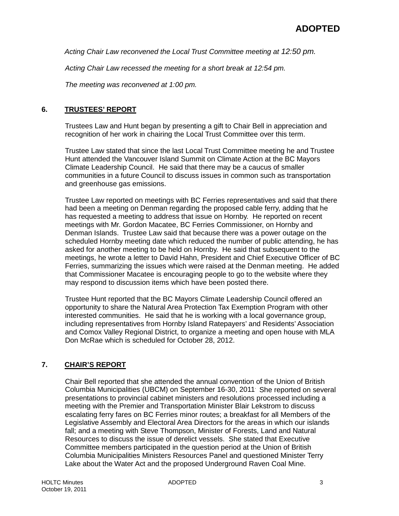*Acting Chair Law reconvened the Local Trust Committee meeting at 12:50 pm.*

*Acting Chair Law recessed the meeting for a short break at 12:54 pm.*

*The meeting was reconvened at 1:00 pm.*

# **6. TRUSTEES' REPORT**

Trustees Law and Hunt began by presenting a gift to Chair Bell in appreciation and recognition of her work in chairing the Local Trust Committee over this term.

Trustee Law stated that since the last Local Trust Committee meeting he and Trustee Hunt attended the Vancouver Island Summit on Climate Action at the BC Mayors Climate Leadership Council. He said that there may be a caucus of smaller communities in a future Council to discuss issues in common such as transportation and greenhouse gas emissions.

Trustee Law reported on meetings with BC Ferries representatives and said that there had been a meeting on Denman regarding the proposed cable ferry, adding that he has requested a meeting to address that issue on Hornby. He reported on recent meetings with Mr. Gordon Macatee, BC Ferries Commissioner, on Hornby and Denman Islands. Trustee Law said that because there was a power outage on the scheduled Hornby meeting date which reduced the number of public attending, he has asked for another meeting to be held on Hornby. He said that subsequent to the meetings, he wrote a letter to David Hahn, President and Chief Executive Officer of BC Ferries, summarizing the issues which were raised at the Denman meeting. He added that Commissioner Macatee is encouraging people to go to the website where they may respond to discussion items which have been posted there.

Trustee Hunt reported that the BC Mayors Climate Leadership Council offered an opportunity to share the Natural Area Protection Tax Exemption Program with other interested communities. He said that he is working with a local governance group, including representatives from Hornby Island Ratepayers' and Residents' Association and Comox Valley Regional District, to organize a meeting and open house with MLA Don McRae which is scheduled for October 28, 2012.

# **7. CHAIR'S REPORT**

Chair Bell reported that she attended the annual convention of the Union of British Columbia Municipalities (UBCM) on September 16-30, 2011. She reported on several presentations to provincial cabinet ministers and resolutions processed including a meeting with the Premier and Transportation Minister Blair Lekstrom to discuss escalating ferry fares on BC Ferries minor routes; a breakfast for all Members of the Legislative Assembly and Electoral Area Directors for the areas in which our islands fall; and a meeting with Steve Thompson, Minister of Forests, Land and Natural Resources to discuss the issue of derelict vessels. She stated that Executive Committee members participated in the question period at the Union of British Columbia Municipalities Ministers Resources Panel and questioned Minister Terry Lake about the Water Act and the proposed Underground Raven Coal Mine.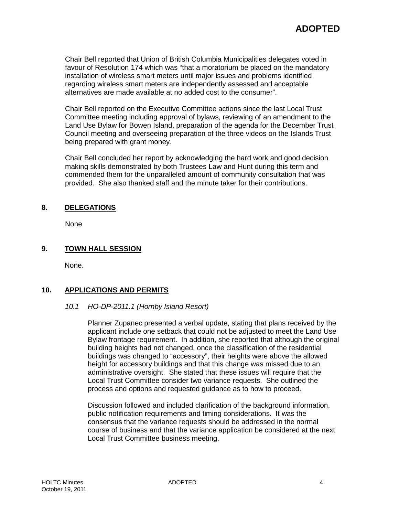Chair Bell reported that Union of British Columbia Municipalities delegates voted in favour of Resolution 174 which was "that a moratorium be placed on the mandatory installation of wireless smart meters until major issues and problems identified regarding wireless smart meters are independently assessed and acceptable alternatives are made available at no added cost to the consumer".

Chair Bell reported on the Executive Committee actions since the last Local Trust Committee meeting including approval of bylaws, reviewing of an amendment to the Land Use Bylaw for Bowen Island, preparation of the agenda for the December Trust Council meeting and overseeing preparation of the three videos on the Islands Trust being prepared with grant money.

Chair Bell concluded her report by acknowledging the hard work and good decision making skills demonstrated by both Trustees Law and Hunt during this term and commended them for the unparalleled amount of community consultation that was provided. She also thanked staff and the minute taker for their contributions.

# **8. DELEGATIONS**

None

# **9. TOWN HALL SESSION**

None.

# **10. APPLICATIONS AND PERMITS**

# *10.1 HO-DP-2011.1 (Hornby Island Resort)*

Planner Zupanec presented a verbal update, stating that plans received by the applicant include one setback that could not be adjusted to meet the Land Use Bylaw frontage requirement. In addition, she reported that although the original building heights had not changed, once the classification of the residential buildings was changed to "accessory", their heights were above the allowed height for accessory buildings and that this change was missed due to an administrative oversight. She stated that these issues will require that the Local Trust Committee consider two variance requests. She outlined the process and options and requested guidance as to how to proceed.

Discussion followed and included clarification of the background information, public notification requirements and timing considerations. It was the consensus that the variance requests should be addressed in the normal course of business and that the variance application be considered at the next Local Trust Committee business meeting.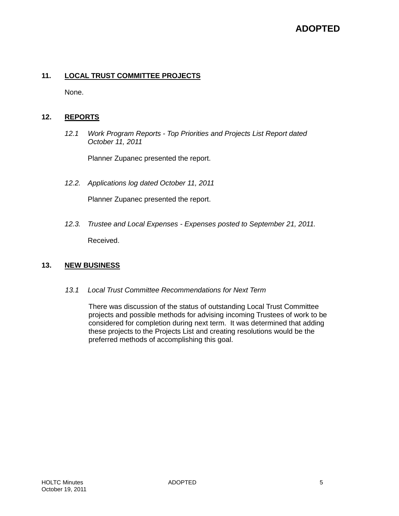# **ADOPTED**

# **11. LOCAL TRUST COMMITTEE PROJECTS**

None.

# **12. REPORTS**

*12.1 Work Program Reports - Top Priorities and Projects List Report dated October 11, 2011*

Planner Zupanec presented the report.

*12.2. Applications log dated October 11, 2011*

Planner Zupanec presented the report.

*12.3. Trustee and Local Expenses - Expenses posted to September 21, 2011.* Received.

# **13. NEW BUSINESS**

*13.1 Local Trust Committee Recommendations for Next Term*

There was discussion of the status of outstanding Local Trust Committee projects and possible methods for advising incoming Trustees of work to be considered for completion during next term. It was determined that adding these projects to the Projects List and creating resolutions would be the preferred methods of accomplishing this goal.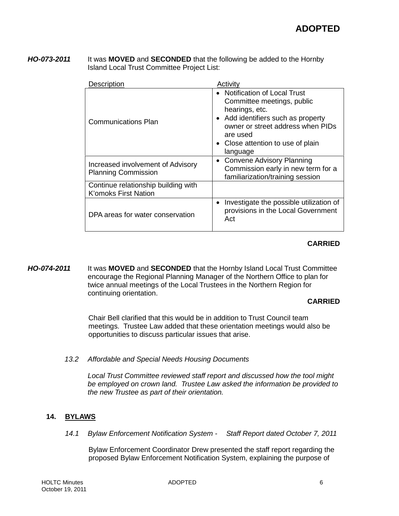*HO-073-2011* It was **MOVED** and **SECONDED** that the following be added to the Hornby Island Local Trust Committee Project List:

| Description                                                        | Activity                                                                                                                                                                                                              |
|--------------------------------------------------------------------|-----------------------------------------------------------------------------------------------------------------------------------------------------------------------------------------------------------------------|
| <b>Communications Plan</b>                                         | • Notification of Local Trust<br>Committee meetings, public<br>hearings, etc.<br>• Add identifiers such as property<br>owner or street address when PIDs<br>are used<br>• Close attention to use of plain<br>language |
| Increased involvement of Advisory<br><b>Planning Commission</b>    | <b>Convene Advisory Planning</b><br>$\bullet$<br>Commission early in new term for a<br>familiarization/training session                                                                                               |
| Continue relationship building with<br><b>K'omoks First Nation</b> |                                                                                                                                                                                                                       |
| DPA areas for water conservation                                   | Investigate the possible utilization of<br>$\bullet$<br>provisions in the Local Government<br>Act                                                                                                                     |

# **CARRIED**

*HO-074-2011* It was **MOVED** and **SECONDED** that the Hornby Island Local Trust Committee encourage the Regional Planning Manager of the Northern Office to plan for twice annual meetings of the Local Trustees in the Northern Region for continuing orientation.

# **CARRIED**

Chair Bell clarified that this would be in addition to Trust Council team meetings. Trustee Law added that these orientation meetings would also be opportunities to discuss particular issues that arise.

*13.2 Affordable and Special Needs Housing Documents*

*Local Trust Committee reviewed staff report and discussed how the tool might be employed on crown land. Trustee Law asked the information be provided to the new Trustee as part of their orientation.*

# **14. BYLAWS**

*14.1 Bylaw Enforcement Notification System - Staff Report dated October 7, 2011*

Bylaw Enforcement Coordinator Drew presented the staff report regarding the proposed Bylaw Enforcement Notification System, explaining the purpose of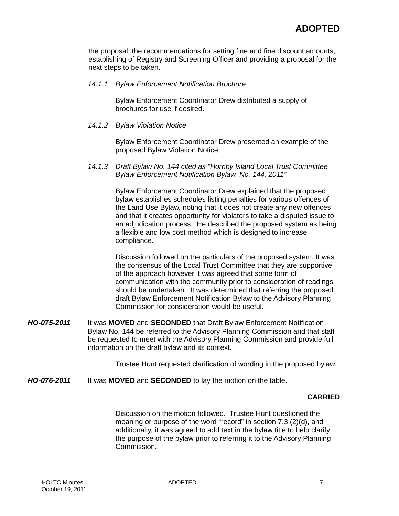the proposal, the recommendations for setting fine and fine discount amounts, establishing of Registry and Screening Officer and providing a proposal for the next steps to be taken.

#### *14.1.1 Bylaw Enforcement Notification Brochure*

Bylaw Enforcement Coordinator Drew distributed a supply of brochures for use if desired.

*14.1.2 Bylaw Violation Notice*

Bylaw Enforcement Coordinator Drew presented an example of the proposed Bylaw Violation Notice.

#### *14.1.3 Draft Bylaw No. 144 cited as "Hornby Island Local Trust Committee Bylaw Enforcement Notification Bylaw, No. 144, 2011"*

Bylaw Enforcement Coordinator Drew explained that the proposed bylaw establishes schedules listing penalties for various offences of the Land Use Bylaw, noting that it does not create any new offences and that it creates opportunity for violators to take a disputed issue to an adjudication process. He described the proposed system as being a flexible and low cost method which is designed to increase compliance.

Discussion followed on the particulars of the proposed system. It was the consensus of the Local Trust Committee that they are supportive of the approach however it was agreed that some form of communication with the community prior to consideration of readings should be undertaken. It was determined that referring the proposed draft Bylaw Enforcement Notification Bylaw to the Advisory Planning Commission for consideration would be useful.

*HO-075-2011* It was **MOVED** and **SECONDED** that Draft Bylaw Enforcement Notification Bylaw No. 144 be referred to the Advisory Planning Commission and that staff be requested to meet with the Advisory Planning Commission and provide full information on the draft bylaw and its context.

Trustee Hunt requested clarification of wording in the proposed bylaw.

*HO-076-2011* It was **MOVED** and **SECONDED** to lay the motion on the table.

# **CARRIED**

Discussion on the motion followed. Trustee Hunt questioned the meaning or purpose of the word "record" in section 7.3 (2)(d), and additionally, it was agreed to add text in the bylaw title to help clarify the purpose of the bylaw prior to referring it to the Advisory Planning Commission.